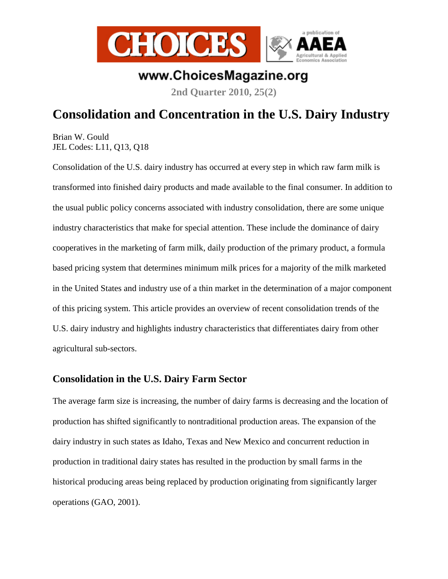

# www.ChoicesMagazine.org

**2nd Quarter 2010, 25(2)** 

# **Consolidation and Concentration in the U.S. Dairy Industry**

Brian W. Gould JEL Codes: L11, Q13, Q18

Consolidation of the U.S. dairy industry has occurred at every step in which raw farm milk is transformed into finished dairy products and made available to the final consumer. In addition to the usual public policy concerns associated with industry consolidation, there are some unique industry characteristics that make for special attention. These include the dominance of dairy cooperatives in the marketing of farm milk, daily production of the primary product, a formula based pricing system that determines minimum milk prices for a majority of the milk marketed in the United States and industry use of a thin market in the determination of a major component of this pricing system. This article provides an overview of recent consolidation trends of the U.S. dairy industry and highlights industry characteristics that differentiates dairy from other agricultural sub-sectors.

### **Consolidation in the U.S. Dairy Farm Sector**

The average farm size is increasing, the number of dairy farms is decreasing and the location of production has shifted significantly to nontraditional production areas. The expansion of the dairy industry in such states as Idaho, Texas and New Mexico and concurrent reduction in production in traditional dairy states has resulted in the production by small farms in the historical producing areas being replaced by production originating from significantly larger operations (GAO, 2001).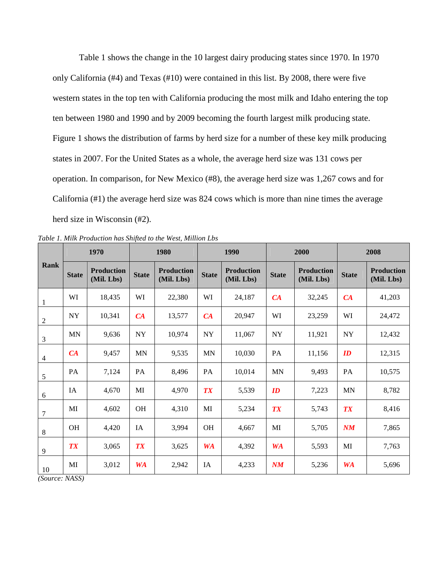Table 1 shows the change in the 10 largest dairy producing states since 1970. In 1970 only California (#4) and Texas (#10) were contained in this list. By 2008, there were five western states in the top ten with California producing the most milk and Idaho entering the top ten between 1980 and 1990 and by 2009 becoming the fourth largest milk producing state. Figure 1 shows the distribution of farms by herd size for a number of these key milk producing states in 2007. For the United States as a whole, the average herd size was 131 cows per operation. In comparison, for New Mexico (#8), the average herd size was 1,267 cows and for California (#1) the average herd size was 824 cows which is more than nine times the average herd size in Wisconsin (#2).

| Rank             | 1970         |                                 | 1980         |                                 | 1990         |                                 | 2000                           |                                 | 2008                           |                                 |
|------------------|--------------|---------------------------------|--------------|---------------------------------|--------------|---------------------------------|--------------------------------|---------------------------------|--------------------------------|---------------------------------|
|                  | <b>State</b> | <b>Production</b><br>(Mil. Lbs) | <b>State</b> | <b>Production</b><br>(Mil. Lbs) | <b>State</b> | <b>Production</b><br>(Mil. Lbs) | <b>State</b>                   | <b>Production</b><br>(Mil. Lbs) | <b>State</b>                   | <b>Production</b><br>(Mil. Lbs) |
| 1                | WI           | 18,435                          | WI           | 22,380                          | WI           | 24,187                          | CA                             | 32,245                          | CA                             | 41,203                          |
| $\boldsymbol{2}$ | <b>NY</b>    | 10,341                          | CA           | 13,577                          | CA           | 20,947                          | WI                             | 23,259                          | WI                             | 24,472                          |
| $\mathfrak{Z}$   | <b>MN</b>    | 9,636                           | ${\rm NY}$   | 10,974                          | <b>NY</b>    | 11,067                          | ${\rm NY}$                     | 11,921                          | NY                             | 12,432                          |
| $\overline{4}$   | CA           | 9,457                           | <b>MN</b>    | 9,535                           | <b>MN</b>    | 10,030                          | PA                             | 11,156                          | $\boldsymbol{ID}$              | 12,315                          |
| 5                | PA           | 7,124                           | PA           | 8,496                           | PA           | 10,014                          | <b>MN</b>                      | 9,493                           | PA                             | 10,575                          |
| $\sqrt{6}$       | <b>IA</b>    | 4,670                           | MI           | 4,970                           | <b>TX</b>    | 5,539                           | $\boldsymbol{ID}$              | 7,223                           | <b>MN</b>                      | 8,782                           |
| $\overline{7}$   | MI           | 4,602                           | <b>OH</b>    | 4,310                           | MI           | 5,234                           | <b>TX</b>                      | 5,743                           | <b>TX</b>                      | 8,416                           |
| 8                | OH           | 4,420                           | IA           | 3,994                           | <b>OH</b>    | 4,667                           | MI                             | 5,705                           | $\boldsymbol{N}\boldsymbol{M}$ | 7,865                           |
| 9                | <b>TX</b>    | 3,065                           | <b>TX</b>    | 3,625                           | <b>WA</b>    | 4,392                           | <b>WA</b>                      | 5,593                           | MI                             | 7,763                           |
| 10               | MI           | 3,012                           | <b>WA</b>    | 2,942                           | IA           | 4,233                           | $\boldsymbol{N}\boldsymbol{M}$ | 5,236                           | <b>WA</b>                      | 5,696                           |

*Table 1. Milk Production has Shifted to the West, Million Lbs* 

*(Source: NASS)*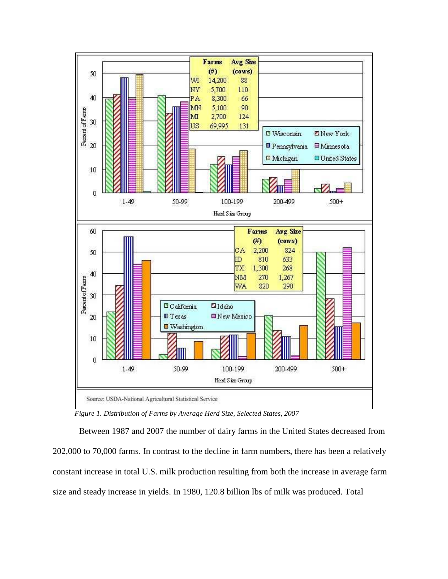

*Figure 1. Distribution of Farms by Average Herd Size, Selected States, 2007* 

Between 1987 and 2007 the number of dairy farms in the United States decreased from 202,000 to 70,000 farms. In contrast to the decline in farm numbers, there has been a relatively constant increase in total U.S. milk production resulting from both the increase in average farm size and steady increase in yields. In 1980, 120.8 billion lbs of milk was produced. Total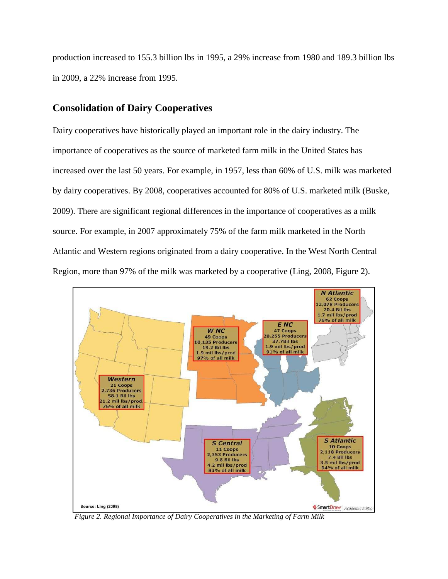production increased to 155.3 billion lbs in 1995, a 29% increase from 1980 and 189.3 billion lbs in 2009, a 22% increase from 1995.

### **Consolidation of Dairy Cooperatives**

Dairy cooperatives have historically played an important role in the dairy industry. The importance of cooperatives as the source of marketed farm milk in the United States has increased over the last 50 years. For example, in 1957, less than 60% of U.S. milk was marketed by dairy cooperatives. By 2008, cooperatives accounted for 80% of U.S. marketed milk (Buske, 2009). There are significant regional differences in the importance of cooperatives as a milk source. For example, in 2007 approximately 75% of the farm milk marketed in the North Atlantic and Western regions originated from a dairy cooperative. In the West North Central Region, more than 97% of the milk was marketed by a cooperative (Ling, 2008, Figure 2).



*Figure 2. Regional Importance of Dairy Cooperatives in the Marketing of Farm Milk*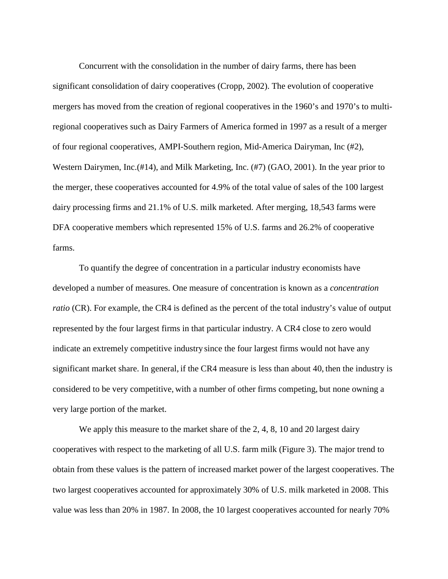Concurrent with the consolidation in the number of dairy farms, there has been significant consolidation of dairy cooperatives (Cropp, 2002). The evolution of cooperative mergers has moved from the creation of regional cooperatives in the 1960's and 1970's to multiregional cooperatives such as Dairy Farmers of America formed in 1997 as a result of a merger of four regional cooperatives, AMPI-Southern region, Mid-America Dairyman, Inc (#2), Western Dairymen, Inc.(#14), and Milk Marketing, Inc. (#7) (GAO, 2001). In the year prior to the merger, these cooperatives accounted for 4.9% of the total value of sales of the 100 largest dairy processing firms and 21.1% of U.S. milk marketed. After merging, 18,543 farms were DFA cooperative members which represented 15% of U.S. farms and 26.2% of cooperative farms.

To quantify the degree of concentration in a particular industry economists have developed a number of measures. One measure of concentration is known as a *concentration ratio* (CR). For example, the CR4 is defined as the percent of the total industry's value of output represented by the four largest firms in that particular industry. A CR4 close to zero would indicate an extremely competitive industry since the four largest firms would not have any significant market share. In general, if the CR4 measure is less than about 40, then the industry is considered to be very competitive, with a number of other firms competing, but none owning a very large portion of the market.

We apply this measure to the market share of the 2, 4, 8, 10 and 20 largest dairy cooperatives with respect to the marketing of all U.S. farm milk (Figure 3). The major trend to obtain from these values is the pattern of increased market power of the largest cooperatives. The two largest cooperatives accounted for approximately 30% of U.S. milk marketed in 2008. This value was less than 20% in 1987. In 2008, the 10 largest cooperatives accounted for nearly 70%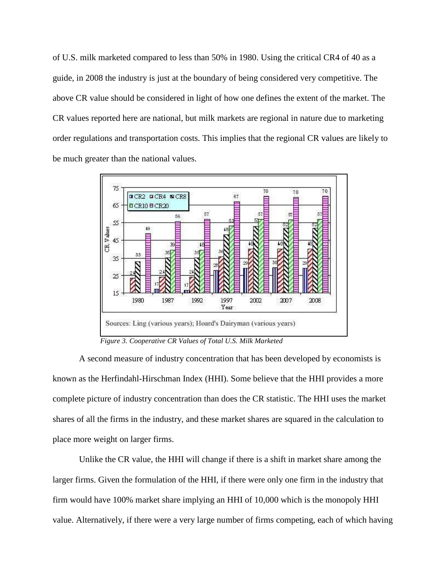of U.S. milk marketed compared to less than 50% in 1980. Using the critical CR4 of 40 as a guide, in 2008 the industry is just at the boundary of being considered very competitive. The above CR value should be considered in light of how one defines the extent of the market. The CR values reported here are national, but milk markets are regional in nature due to marketing order regulations and transportation costs. This implies that the regional CR values are likely to be much greater than the national values.



*Figure 3. Cooperative CR Values of Total U.S. Milk Marketed* 

A second measure of industry concentration that has been developed by economists is known as the Herfindahl-Hirschman Index (HHI). Some believe that the HHI provides a more complete picture of industry concentration than does the CR statistic. The HHI uses the market shares of all the firms in the industry, and these market shares are squared in the calculation to place more weight on larger firms.

Unlike the CR value, the HHI will change if there is a shift in market share among the larger firms. Given the formulation of the HHI, if there were only one firm in the industry that firm would have 100% market share implying an HHI of 10,000 which is the monopoly HHI value. Alternatively, if there were a very large number of firms competing, each of which having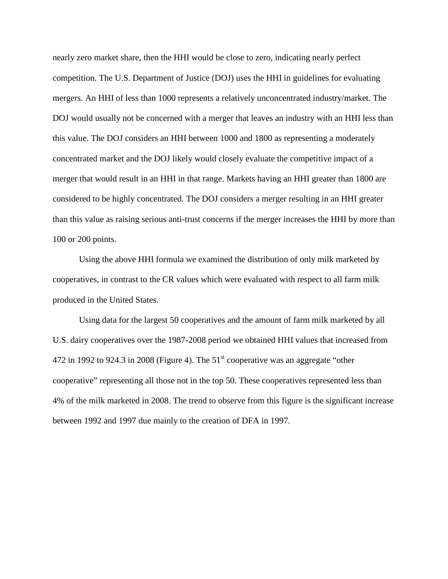nearly zero market share, then the HHI would be close to zero, indicating nearly perfect competition. The U.S. Department of Justice (DOJ) uses the HHI in guidelines for evaluating mergers. An HHI of less than 1000 represents a relatively unconcentrated industry/market. The DOJ would usually not be concerned with a merger that leaves an industry with an HHI less than this value. The DOJ considers an HHI between 1000 and 1800 as representing a moderately concentrated market and the DOJ likely would closely evaluate the competitive impact of a merger that would result in an HHI in that range. Markets having an HHI greater than 1800 are considered to be highly concentrated. The DOJ considers a merger resulting in an HHI greater than this value as raising serious anti-trust concerns if the merger increases the HHI by more than 100 or 200 points.

Using the above HHI formula we examined the distribution of only milk marketed by cooperatives, in contrast to the CR values which were evaluated with respect to all farm milk produced in the United States.

Using data for the largest 50 cooperatives and the amount of farm milk marketed by all U.S. dairy cooperatives over the 1987-2008 period we obtained HHI values that increased from 472 in 1992 to 924.3 in 2008 (Figure 4). The  $51<sup>st</sup>$  cooperative was an aggregate "other cooperative" representing all those not in the top 50. These cooperatives represented less than 4% of the milk marketed in 2008. The trend to observe from this figure is the significant increase between 1992 and 1997 due mainly to the creation of DFA in 1997.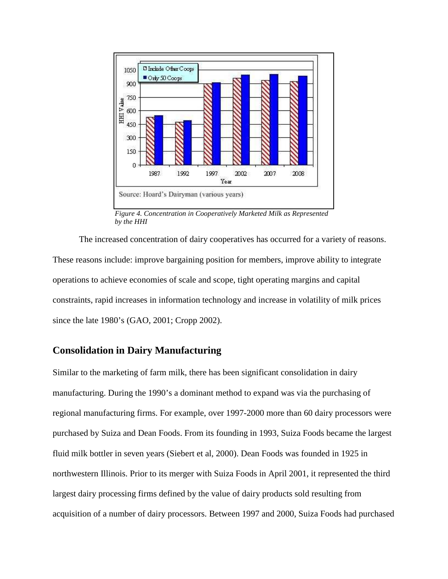

*Figure 4. Concentration in Cooperatively Marketed Milk as Represented by the HHI* 

The increased concentration of dairy cooperatives has occurred for a variety of reasons. These reasons include: improve bargaining position for members, improve ability to integrate operations to achieve economies of scale and scope, tight operating margins and capital constraints, rapid increases in information technology and increase in volatility of milk prices since the late 1980's (GAO, 2001; Cropp 2002).

### **Consolidation in Dairy Manufacturing**

Similar to the marketing of farm milk, there has been significant consolidation in dairy manufacturing. During the 1990's a dominant method to expand was via the purchasing of regional manufacturing firms. For example, over 1997-2000 more than 60 dairy processors were purchased by Suiza and Dean Foods. From its founding in 1993, Suiza Foods became the largest fluid milk bottler in seven years (Siebert et al, 2000). Dean Foods was founded in 1925 in northwestern Illinois. Prior to its merger with Suiza Foods in April 2001, it represented the third largest dairy processing firms defined by the value of dairy products sold resulting from acquisition of a number of dairy processors. Between 1997 and 2000, Suiza Foods had purchased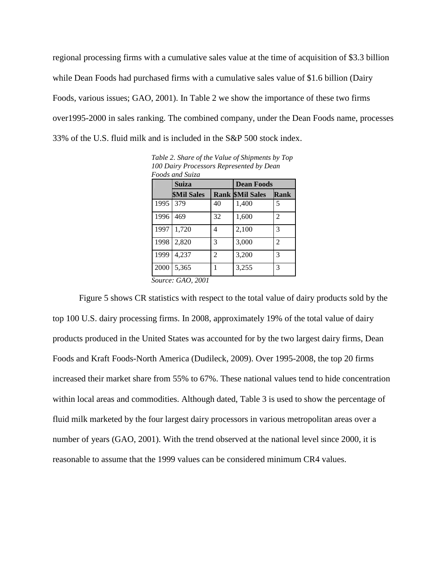regional processing firms with a cumulative sales value at the time of acquisition of \$3.3 billion while Dean Foods had purchased firms with a cumulative sales value of \$1.6 billion (Dairy Foods, various issues; GAO, 2001). In Table 2 we show the importance of these two firms over1995-2000 in sales ranking. The combined company, under the Dean Foods name, processes 33% of the U.S. fluid milk and is included in the S&P 500 stock index.

|      | Suiza                           |                          | <b>Dean Foods</b>      |                |  |  |
|------|---------------------------------|--------------------------|------------------------|----------------|--|--|
|      | <b><i><u>SMil Sales</u></i></b> |                          | <b>Rank SMil Sales</b> | Rank           |  |  |
| 1995 | 379                             | 40                       | 1,400                  | 5              |  |  |
| 1996 | 469                             | 32                       | 1,600                  | 2              |  |  |
| 1997 | 1,720                           | 4                        | 2,100                  | 3              |  |  |
| 1998 | 2,820                           | 3                        | 3,000                  | $\mathfrak{D}$ |  |  |
| 1999 | 4,237                           | $\overline{\mathcal{L}}$ | 3,200                  | 3              |  |  |
| 2000 | 5,365                           |                          | 3,255                  | 3              |  |  |

*Table 2. Share of the Value of Shipments by Top 100 Dairy Processors Represented by Dean Foods and Suiza* 

Figure 5 shows CR statistics with respect to the total value of dairy products sold by the top 100 U.S. dairy processing firms. In 2008, approximately 19% of the total value of dairy products produced in the United States was accounted for by the two largest dairy firms, Dean Foods and Kraft Foods-North America (Dudileck, 2009). Over 1995-2008, the top 20 firms increased their market share from 55% to 67%. These national values tend to hide concentration within local areas and commodities. Although dated, Table 3 is used to show the percentage of fluid milk marketed by the four largest dairy processors in various metropolitan areas over a number of years (GAO, 2001). With the trend observed at the national level since 2000, it is reasonable to assume that the 1999 values can be considered minimum CR4 values.

*Source: GAO, 2001*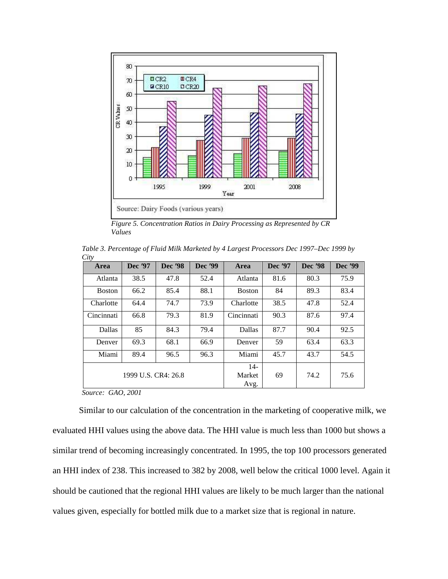

*Figure 5. Concentration Ratios in Dairy Processing as Represented by CR Values* 

*Table 3. Percentage of Fluid Milk Marketed by 4 Largest Processors Dec 1997–Dec 1999 by City* 

| Area          | Dec '97             | Dec '98 | Dec '99 | Area          | Dec '97 | Dec '98 | Dec '99 |
|---------------|---------------------|---------|---------|---------------|---------|---------|---------|
| Atlanta       | 38.5                | 47.8    | 52.4    | Atlanta       | 81.6    | 80.3    | 75.9    |
| <b>Boston</b> | 66.2                | 85.4    | 88.1    | <b>Boston</b> | 84      | 89.3    | 83.4    |
| Charlotte     | 64.4                | 74.7    | 73.9    | Charlotte     | 38.5    | 47.8    | 52.4    |
| Cincinnati    | 66.8                | 79.3    | 81.9    | Cincinnati    | 90.3    | 87.6    | 97.4    |
| Dallas        | 85                  | 84.3    | 79.4    | Dallas        | 87.7    | 90.4    | 92.5    |
| Denver        | 69.3                | 68.1    | 66.9    | Denver        | 59      | 63.4    | 63.3    |
| Miami         | 89.4                | 96.5    | 96.3    | Miami         | 45.7    | 43.7    | 54.5    |
|               |                     |         |         | $14-$         |         |         |         |
|               | 1999 U.S. CR4: 26.8 |         |         | Market        | 69      | 74.2    | 75.6    |
|               |                     |         |         | Avg.          |         |         |         |

*Source: GAO, 2001* 

Similar to our calculation of the concentration in the marketing of cooperative milk, we evaluated HHI values using the above data. The HHI value is much less than 1000 but shows a similar trend of becoming increasingly concentrated. In 1995, the top 100 processors generated an HHI index of 238. This increased to 382 by 2008, well below the critical 1000 level. Again it should be cautioned that the regional HHI values are likely to be much larger than the national values given, especially for bottled milk due to a market size that is regional in nature.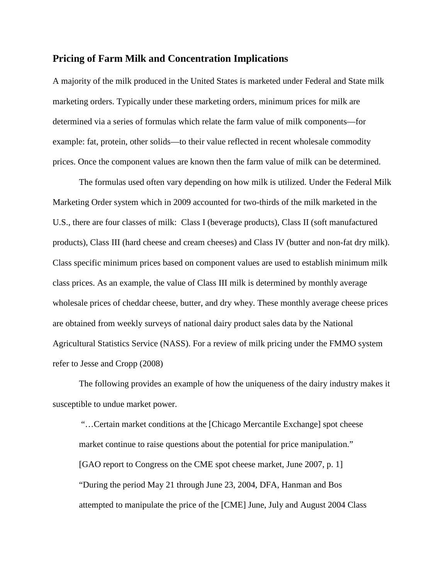#### **Pricing of Farm Milk and Concentration Implications**

A majority of the milk produced in the United States is marketed under Federal and State milk marketing orders. Typically under these marketing orders, minimum prices for milk are determined via a series of formulas which relate the farm value of milk components—for example: fat, protein, other solids—to their value reflected in recent wholesale commodity prices. Once the component values are known then the farm value of milk can be determined.

The formulas used often vary depending on how milk is utilized. Under the Federal Milk Marketing Order system which in 2009 accounted for two-thirds of the milk marketed in the U.S., there are four classes of milk: Class I (beverage products), Class II (soft manufactured products), Class III (hard cheese and cream cheeses) and Class IV (butter and non-fat dry milk). Class specific minimum prices based on component values are used to establish minimum milk class prices. As an example, the value of Class III milk is determined by monthly average wholesale prices of cheddar cheese, butter, and dry whey. These monthly average cheese prices are obtained from weekly surveys of national dairy product sales data by the National Agricultural Statistics Service (NASS). For a review of milk pricing under the FMMO system refer to Jesse and Cropp (2008)

The following provides an example of how the uniqueness of the dairy industry makes it susceptible to undue market power.

 "…Certain market conditions at the [Chicago Mercantile Exchange] spot cheese market continue to raise questions about the potential for price manipulation." [GAO report to Congress on the CME spot cheese market, June 2007, p. 1] "During the period May 21 through June 23, 2004, DFA, Hanman and Bos attempted to manipulate the price of the [CME] June, July and August 2004 Class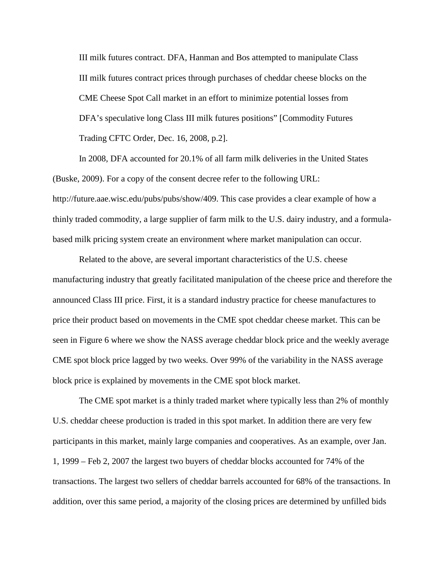III milk futures contract. DFA, Hanman and Bos attempted to manipulate Class III milk futures contract prices through purchases of cheddar cheese blocks on the CME Cheese Spot Call market in an effort to minimize potential losses from DFA's speculative long Class III milk futures positions" [Commodity Futures Trading CFTC Order, Dec. 16, 2008, p.2].

In 2008, DFA accounted for 20.1% of all farm milk deliveries in the United States (Buske, 2009). For a copy of the consent decree refer to the following URL: http://future.aae.wisc.edu/pubs/pubs/show/409. This case provides a clear example of how a thinly traded commodity, a large supplier of farm milk to the U.S. dairy industry, and a formulabased milk pricing system create an environment where market manipulation can occur.

Related to the above, are several important characteristics of the U.S. cheese manufacturing industry that greatly facilitated manipulation of the cheese price and therefore the announced Class III price. First, it is a standard industry practice for cheese manufactures to price their product based on movements in the CME spot cheddar cheese market. This can be seen in Figure 6 where we show the NASS average cheddar block price and the weekly average CME spot block price lagged by two weeks. Over 99% of the variability in the NASS average block price is explained by movements in the CME spot block market.

The CME spot market is a thinly traded market where typically less than 2% of monthly U.S. cheddar cheese production is traded in this spot market. In addition there are very few participants in this market, mainly large companies and cooperatives. As an example, over Jan. 1, 1999 – Feb 2, 2007 the largest two buyers of cheddar blocks accounted for 74% of the transactions. The largest two sellers of cheddar barrels accounted for 68% of the transactions. In addition, over this same period, a majority of the closing prices are determined by unfilled bids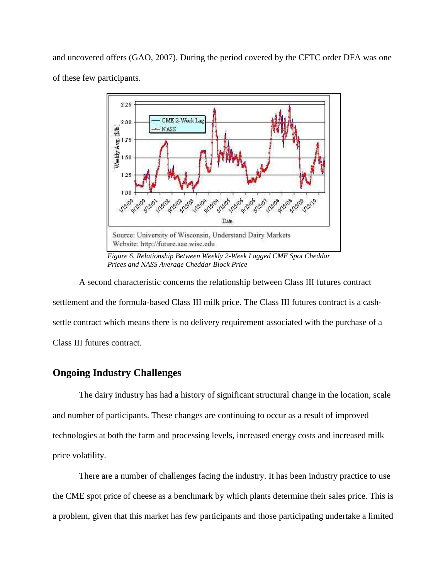and uncovered offers (GAO, 2007). During the period covered by the CFTC order DFA was one of these few participants.



*Figure 6. Relationship Between Weekly 2-Week Lagged CME Spot Cheddar Prices and NASS Average Cheddar Block Price* 

A second characteristic concerns the relationship between Class III futures contract settlement and the formula-based Class III milk price. The Class III futures contract is a cashsettle contract which means there is no delivery requirement associated with the purchase of a Class III futures contract.

### **Ongoing Industry Challenges**

The dairy industry has had a history of significant structural change in the location, scale and number of participants. These changes are continuing to occur as a result of improved technologies at both the farm and processing levels, increased energy costs and increased milk price volatility.

There are a number of challenges facing the industry. It has been industry practice to use the CME spot price of cheese as a benchmark by which plants determine their sales price. This is a problem, given that this market has few participants and those participating undertake a limited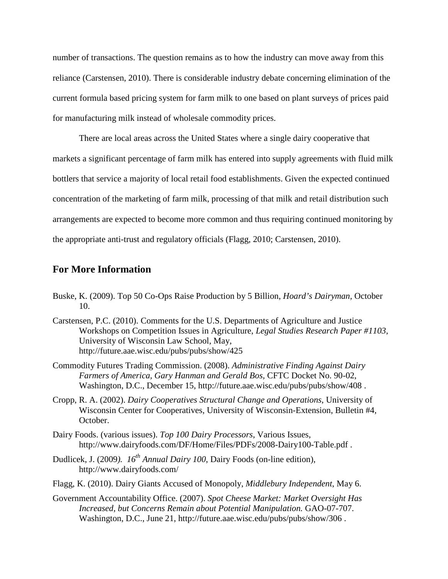number of transactions. The question remains as to how the industry can move away from this reliance (Carstensen, 2010). There is considerable industry debate concerning elimination of the current formula based pricing system for farm milk to one based on plant surveys of prices paid for manufacturing milk instead of wholesale commodity prices.

There are local areas across the United States where a single dairy cooperative that markets a significant percentage of farm milk has entered into supply agreements with fluid milk bottlers that service a majority of local retail food establishments. Given the expected continued concentration of the marketing of farm milk, processing of that milk and retail distribution such arrangements are expected to become more common and thus requiring continued monitoring by the appropriate anti-trust and regulatory officials (Flagg, 2010; Carstensen, 2010).

#### **For More Information**

- Buske, K. (2009). Top 50 Co-Ops Raise Production by 5 Billion, *Hoard's Dairyman*, October 10.
- Carstensen, P.C. (2010). Comments for the U.S. Departments of Agriculture and Justice Workshops on Competition Issues in Agriculture, *Legal Studies Research Paper #1103*, University of Wisconsin Law School, May, http://future.aae.wisc.edu/pubs/pubs/show/425
- Commodity Futures Trading Commission. (2008). *Administrative Finding Against Dairy Farmers of America, Gary Hanman and Gerald Bos,* CFTC Docket No. 90-02, Washington, D.C., December 15, http://future.aae.wisc.edu/pubs/pubs/show/408 .
- Cropp, R. A. (2002). *Dairy Cooperatives Structural Change and Operations*, University of Wisconsin Center for Cooperatives, University of Wisconsin-Extension, Bulletin #4, October.
- Dairy Foods. (various issues). *Top 100 Dairy Processors*, Various Issues, http://www.dairyfoods.com/DF/Home/Files/PDFs/2008-Dairy100-Table.pdf .
- Dudlicek, J. (2009*). 16th Annual Dairy 100*, Dairy Foods (on-line edition), http://www.dairyfoods.com/
- Flagg, K. (2010). Dairy Giants Accused of Monopoly, *Middlebury Independent*, May 6.
- Government Accountability Office. (2007). *Spot Cheese Market: Market Oversight Has Increased, but Concerns Remain about Potential Manipulation.* GAO-07-707. Washington, D.C., June 21, http://future.aae.wisc.edu/pubs/pubs/show/306 .